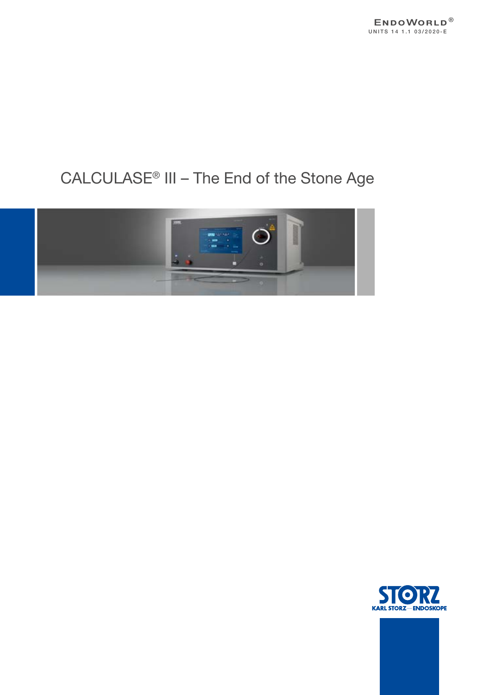

# CALCULASE® III – The End of the Stone Age



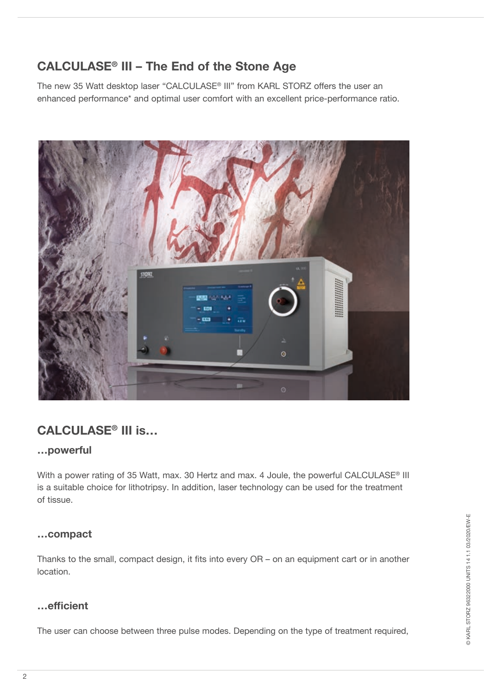# **CALCULASE® III – The End of the Stone Age**

The new 35 Watt desktop laser "CALCULASE® III" from KARL STORZ offers the user an enhanced performance\* and optimal user comfort with an excellent price-performance ratio.



# **CALCULASE® III is…**

#### **…powerful**

With a power rating of 35 Watt, max. 30 Hertz and max. 4 Joule, the powerful CALCULASE® III is a suitable choice for lithotripsy. In addition, laser technology can be used for the treatment of tissue.

#### **…compact**

Thanks to the small, compact design, it fits into every OR – on an equipment cart or in another location.

#### **…efficient**

The user can choose between three pulse modes. Depending on the type of treatment required,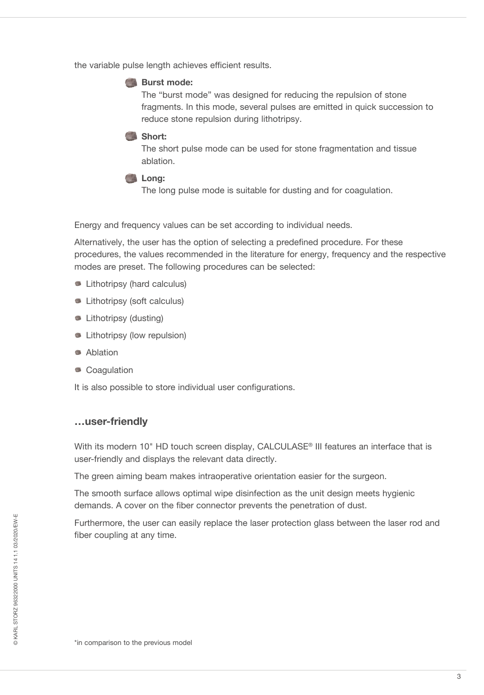the variable pulse length achieves efficient results.

#### **Burst mode:**

The "burst mode" was designed for reducing the repulsion of stone fragments. In this mode, several pulses are emitted in quick succession to reduce stone repulsion during lithotripsy.

#### **Short:**

The short pulse mode can be used for stone fragmentation and tissue ablation.

**Long:** 

The long pulse mode is suitable for dusting and for coagulation.

Energy and frequency values can be set according to individual needs.

Alternatively, the user has the option of selecting a predefined procedure. For these procedures, the values recommended in the literature for energy, frequency and the respective modes are preset. The following procedures can be selected:

- **Lithotripsy (hard calculus)**
- **Lithotripsy (soft calculus)**
- **Lithotripsy (dusting)**
- **Lithotripsy (low repulsion)**
- **Ablation**
- Coagulation

It is also possible to store individual user configurations.

#### **…user-friendly**

With its modern 10" HD touch screen display, CALCULASE® III features an interface that is user-friendly and displays the relevant data directly.

The green aiming beam makes intraoperative orientation easier for the surgeon.

The smooth surface allows optimal wipe disinfection as the unit design meets hygienic demands. A cover on the fiber connector prevents the penetration of dust.

Furthermore, the user can easily replace the laser protection glass between the laser rod and fiber coupling at any time.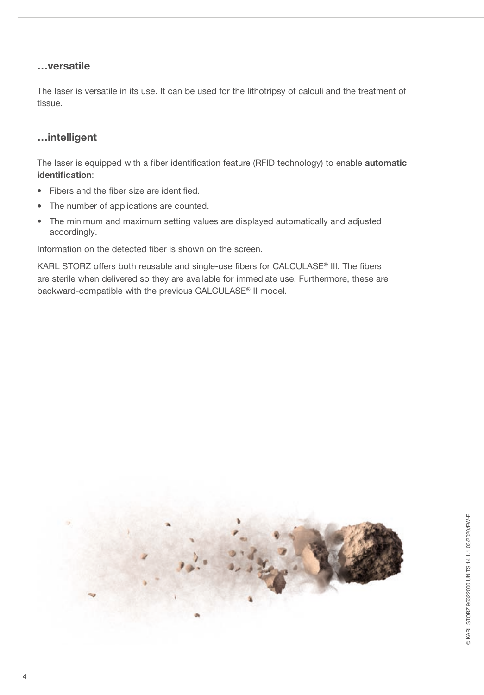#### **…versatile**

The laser is versatile in its use. It can be used for the lithotripsy of calculi and the treatment of tissue.

#### **…intelligent**

The laser is equipped with a fiber identification feature (RFID technology) to enable **automatic identification**:

- Fibers and the fiber size are identified.
- The number of applications are counted.
- The minimum and maximum setting values are displayed automatically and adjusted accordingly.

Information on the detected fiber is shown on the screen.

KARL STORZ offers both reusable and single-use fibers for CALCULASE® III. The fibers are sterile when delivered so they are available for immediate use. Furthermore, these are backward-compatible with the previous CALCULASE® II model.

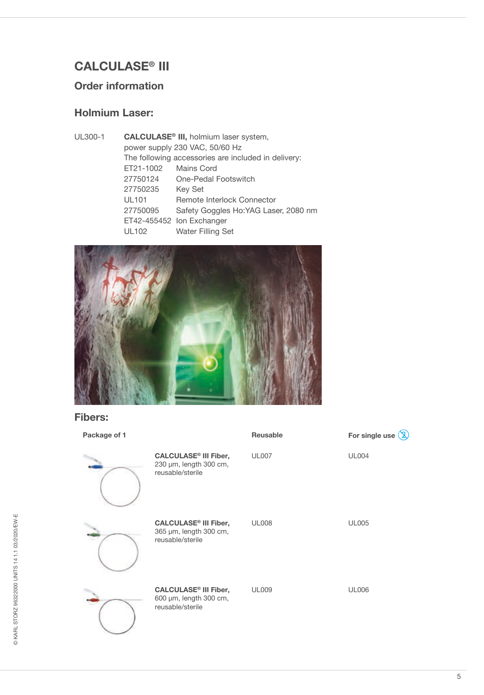# **CALCULASE® III**

# **Order information**

# **Holmium Laser:**

| UL300-1 | CALCULASE <sup>®</sup> III, holmium laser system,   |                                       |  |
|---------|-----------------------------------------------------|---------------------------------------|--|
|         | power supply 230 VAC, 50/60 Hz                      |                                       |  |
|         | The following accessories are included in delivery: |                                       |  |
|         | ET21-1002                                           | Mains Cord                            |  |
|         | 27750124                                            | One-Pedal Footswitch                  |  |
|         | 27750235                                            | <b>Key Set</b>                        |  |
|         | <b>UL101</b>                                        | Remote Interlock Connector            |  |
|         | 27750095                                            | Safety Goggles Ho: YAG Laser, 2080 nm |  |
|         |                                                     | ET42-455452 Ion Exchanger             |  |
|         | <b>UL102</b>                                        | <b>Water Filling Set</b>              |  |
|         |                                                     |                                       |  |



#### **Fibers:**

| Package of 1 |                                                                                       | <b>Reusable</b> | For single use $\mathbb Q$ |
|--------------|---------------------------------------------------------------------------------------|-----------------|----------------------------|
|              | <b>CALCULASE<sup>®</sup> III Fiber,</b><br>230 µm, length 300 cm,<br>reusable/sterile | <b>UL007</b>    | <b>UL004</b>               |
|              | <b>CALCULASE<sup>®</sup> III Fiber,</b><br>365 µm, length 300 cm,<br>reusable/sterile | <b>UL008</b>    | <b>UL005</b>               |
|              | <b>CALCULASE<sup>®</sup> III Fiber,</b><br>600 µm, length 300 cm,<br>reusable/sterile | <b>UL009</b>    | <b>UL006</b>               |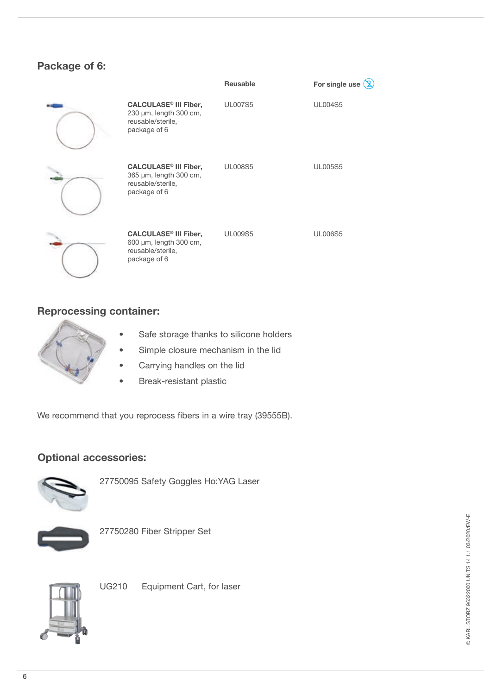### **Package of 6:**

|                                                                                                        | Reusable       | യ<br>For single use |
|--------------------------------------------------------------------------------------------------------|----------------|---------------------|
| <b>CALCULASE<sup>®</sup> III Fiber,</b><br>230 µm, length 300 cm,<br>reusable/sterile,<br>package of 6 | <b>UL007S5</b> | <b>UL004S5</b>      |
| <b>CALCULASE<sup>®</sup> III Fiber,</b><br>365 µm, length 300 cm,<br>reusable/sterile,<br>package of 6 | <b>UL008S5</b> | <b>UL005S5</b>      |
| <b>CALCULASE<sup>®</sup> III Fiber,</b><br>600 µm, length 300 cm,<br>reusable/sterile,<br>package of 6 | <b>UL009S5</b> | <b>UL006S5</b>      |

### **Reprocessing container:**



- Safe storage thanks to silicone holders
- Simple closure mechanism in the lid
- Carrying handles on the lid
- Break-resistant plastic

We recommend that you reprocess fibers in a wire tray (39555B).

#### **Optional accessories:**



27750095 Safety Goggles Ho:YAG Laser



27750280 Fiber Stripper Set



UG210 Equipment Cart, for laser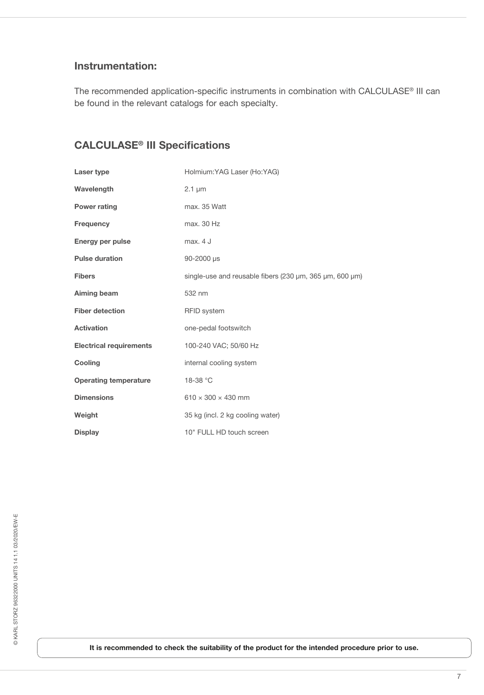#### **Instrumentation:**

The recommended application-specific instruments in combination with CALCULASE® III can be found in the relevant catalogs for each specialty.

## **CALCULASE® III Specifications**

| Laser type                     | Holmium: YAG Laser (Ho: YAG)                            |
|--------------------------------|---------------------------------------------------------|
| Wavelength                     | $2.1 \mu m$                                             |
| <b>Power rating</b>            | max. 35 Watt                                            |
| Frequency                      | max. 30 Hz                                              |
| Energy per pulse               | max. 4 J                                                |
| <b>Pulse duration</b>          | 90-2000 µs                                              |
| <b>Fibers</b>                  | single-use and reusable fibers (230 µm, 365 µm, 600 µm) |
| Aiming beam                    | 532 nm                                                  |
| <b>Fiber detection</b>         | <b>RFID</b> system                                      |
| <b>Activation</b>              | one-pedal footswitch                                    |
| <b>Electrical requirements</b> | 100-240 VAC; 50/60 Hz                                   |
| Cooling                        | internal cooling system                                 |
| <b>Operating temperature</b>   | 18-38 °C                                                |
| <b>Dimensions</b>              | $610 \times 300 \times 430$ mm                          |
| Weight                         | 35 kg (incl. 2 kg cooling water)                        |
| <b>Display</b>                 | 10" FULL HD touch screen                                |

**It is recommended to check the suitability of the product for the intended procedure prior to use.**